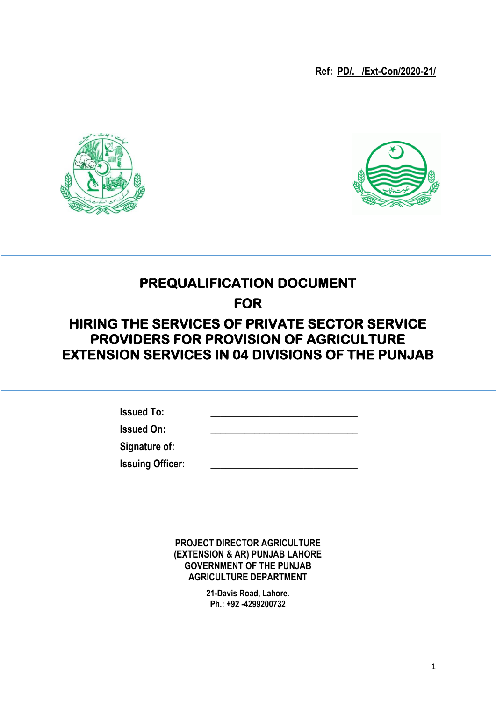**Ref: PD/. /Ext-Con/2020-21/**





# **PREQUALIFICATION DOCUMENT**

**FOR** 

## **HIRING THE SERVICES OF PRIVATE SECTOR SERVICE PROVIDERS FOR PROVISION OF AGRICULTURE EXTENSION SERVICES IN 04 DIVISIONS OF THE PUNJAB**

| <b>Issued To:</b>       |  |
|-------------------------|--|
| <b>Issued On:</b>       |  |
| Signature of:           |  |
| <b>Issuing Officer:</b> |  |

**PROJECT DIRECTOR AGRICULTURE (EXTENSION & AR) PUNJAB LAHORE GOVERNMENT OF THE PUNJAB AGRICULTURE DEPARTMENT**

> **21-Davis Road, Lahore. Ph.: +92 -4299200732**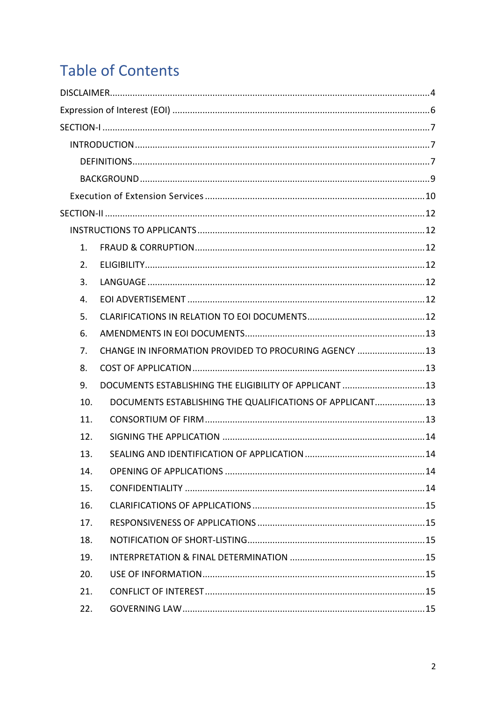# **Table of Contents**

| $\mathbf{1}$ . |                                                           |  |
|----------------|-----------------------------------------------------------|--|
| 2.             |                                                           |  |
| 3.             |                                                           |  |
| 4.             |                                                           |  |
| 5.             |                                                           |  |
| 6.             |                                                           |  |
| 7.             | CHANGE IN INFORMATION PROVIDED TO PROCURING AGENCY 13     |  |
| 8.             |                                                           |  |
| 9.             | DOCUMENTS ESTABLISHING THE ELIGIBILITY OF APPLICANT 13    |  |
| 10.            | DOCUMENTS ESTABLISHING THE QUALIFICATIONS OF APPLICANT 13 |  |
| 11.            |                                                           |  |
| 12.            |                                                           |  |
| 13.            |                                                           |  |
| 14.            |                                                           |  |
| 15.            |                                                           |  |
| 16.            |                                                           |  |
| 17.            |                                                           |  |
| 18.            |                                                           |  |
| 19.            |                                                           |  |
| 20.            |                                                           |  |
| 21.            |                                                           |  |
| 22.            |                                                           |  |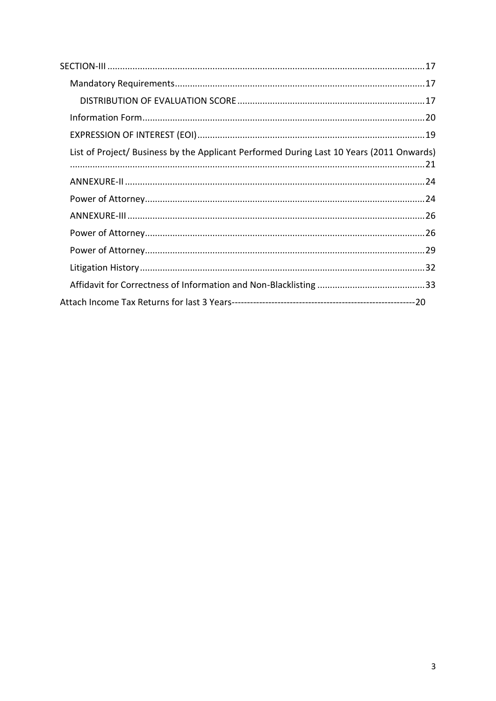| List of Project/ Business by the Applicant Performed During Last 10 Years (2011 Onwards) |  |
|------------------------------------------------------------------------------------------|--|
|                                                                                          |  |
|                                                                                          |  |
|                                                                                          |  |
|                                                                                          |  |
|                                                                                          |  |
|                                                                                          |  |
|                                                                                          |  |
|                                                                                          |  |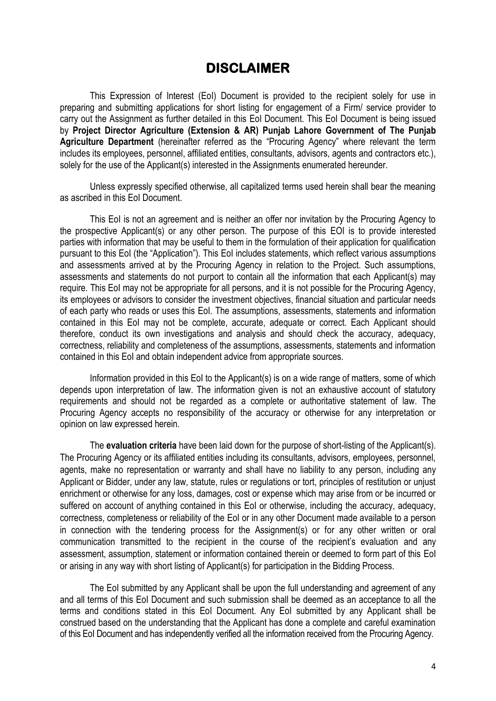### **DISCLAIMER**

<span id="page-3-0"></span>This Expression of Interest (EoI) Document is provided to the recipient solely for use in preparing and submitting applications for short listing for engagement of a Firm/ service provider to carry out the Assignment as further detailed in this EoI Document. This EoI Document is being issued by **Project Director Agriculture (Extension & AR) Punjab Lahore Government of The Punjab Agriculture Department** (hereinafter referred as the "Procuring Agency" where relevant the term includes its employees, personnel, affiliated entities, consultants, advisors, agents and contractors etc.), solely for the use of the Applicant(s) interested in the Assignments enumerated hereunder.

Unless expressly specified otherwise, all capitalized terms used herein shall bear the meaning as ascribed in this EoI Document.

This EoI is not an agreement and is neither an offer nor invitation by the Procuring Agency to the prospective Applicant(s) or any other person. The purpose of this EOI is to provide interested parties with information that may be useful to them in the formulation of their application for qualification pursuant to this EoI (the "Application"). This EoI includes statements, which reflect various assumptions and assessments arrived at by the Procuring Agency in relation to the Project. Such assumptions, assessments and statements do not purport to contain all the information that each Applicant(s) may require. This EoI may not be appropriate for all persons, and it is not possible for the Procuring Agency, its employees or advisors to consider the investment objectives, financial situation and particular needs of each party who reads or uses this EoI. The assumptions, assessments, statements and information contained in this EoI may not be complete, accurate, adequate or correct. Each Applicant should therefore, conduct its own investigations and analysis and should check the accuracy, adequacy, correctness, reliability and completeness of the assumptions, assessments, statements and information contained in this EoI and obtain independent advice from appropriate sources.

Information provided in this EoI to the Applicant(s) is on a wide range of matters, some of which depends upon interpretation of law. The information given is not an exhaustive account of statutory requirements and should not be regarded as a complete or authoritative statement of law. The Procuring Agency accepts no responsibility of the accuracy or otherwise for any interpretation or opinion on law expressed herein.

The **evaluation criteria** have been laid down for the purpose of short-listing of the Applicant(s). The Procuring Agency or its affiliated entities including its consultants, advisors, employees, personnel, agents, make no representation or warranty and shall have no liability to any person, including any Applicant or Bidder, under any law, statute, rules or regulations or tort, principles of restitution or unjust enrichment or otherwise for any loss, damages, cost or expense which may arise from or be incurred or suffered on account of anything contained in this EoI or otherwise, including the accuracy, adequacy, correctness, completeness or reliability of the EoI or in any other Document made available to a person in connection with the tendering process for the Assignment(s) or for any other written or oral communication transmitted to the recipient in the course of the recipient's evaluation and any assessment, assumption, statement or information contained therein or deemed to form part of this EoI or arising in any way with short listing of Applicant(s) for participation in the Bidding Process.

The EoI submitted by any Applicant shall be upon the full understanding and agreement of any and all terms of this EoI Document and such submission shall be deemed as an acceptance to all the terms and conditions stated in this EoI Document. Any EoI submitted by any Applicant shall be construed based on the understanding that the Applicant has done a complete and careful examination of this EoI Document and has independently verified all the information received from the Procuring Agency.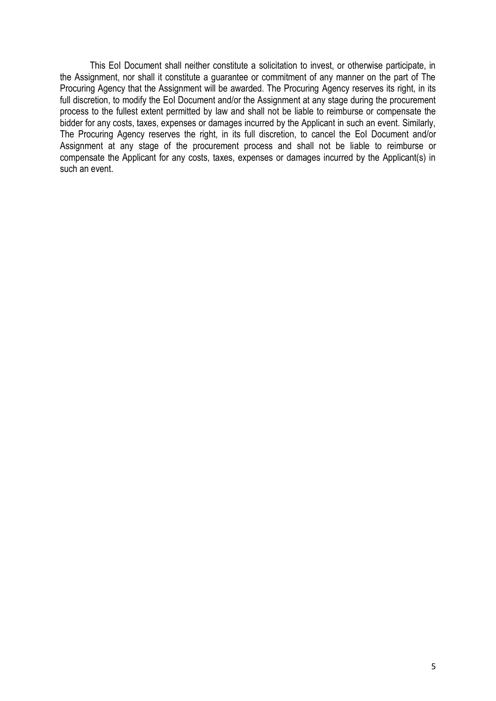This EoI Document shall neither constitute a solicitation to invest, or otherwise participate, in the Assignment, nor shall it constitute a guarantee or commitment of any manner on the part of The Procuring Agency that the Assignment will be awarded. The Procuring Agency reserves its right, in its full discretion, to modify the EoI Document and/or the Assignment at any stage during the procurement process to the fullest extent permitted by law and shall not be liable to reimburse or compensate the bidder for any costs, taxes, expenses or damages incurred by the Applicant in such an event. Similarly, The Procuring Agency reserves the right, in its full discretion, to cancel the EoI Document and/or Assignment at any stage of the procurement process and shall not be liable to reimburse or compensate the Applicant for any costs, taxes, expenses or damages incurred by the Applicant(s) in such an event.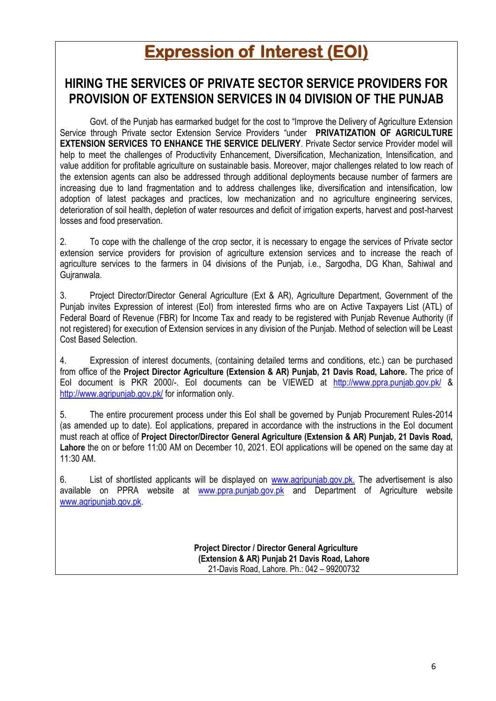# **Expression of Interest (EOI)**

## <span id="page-5-0"></span>**HIRING THE SERVICES OF PRIVATE SECTOR SERVICE PROVIDERS FOR PROVISION OF EXTENSION SERVICES IN 04 DIVISION OF THE PUNJAB**

Govt. of the Punjab has earmarked budget for the cost to "Improve the Delivery of Agriculture Extension Service through Private sector Extension Service Providers "under **PRIVATIZATION OF AGRICULTURE EXTENSION SERVICES TO ENHANCE THE SERVICE DELIVERY**. Private Sector service Provider model will help to meet the challenges of Productivity Enhancement, Diversification, Mechanization, Intensification, and value addition for profitable agriculture on sustainable basis. Moreover, major challenges related to low reach of the extension agents can also be addressed through additional deployments because number of farmers are increasing due to land fragmentation and to address challenges like, diversification and intensification, low adoption of latest packages and practices, low mechanization and no agriculture engineering services, deterioration of soil health, depletion of water resources and deficit of irrigation experts, harvest and post-harvest losses and food preservation.

2. To cope with the challenge of the crop sector, it is necessary to engage the services of Private sector extension service providers for provision of agriculture extension services and to increase the reach of agriculture services to the farmers in 04 divisions of the Punjab, i.e., Sargodha, DG Khan, Sahiwal and Gujranwala.

3. Project Director/Director General Agriculture (Ext & AR), Agriculture Department, Government of the Punjab invites Expression of interest (EoI) from interested firms who are on Active Taxpayers List (ATL) of Federal Board of Revenue (FBR) for Income Tax and ready to be registered with Punjab Revenue Authority (if not registered) for execution of Extension services in any division of the Punjab. Method of selection will be Least Cost Based Selection.

4. Expression of interest documents, (containing detailed terms and conditions, etc.) can be purchased from office of the **Project Director Agriculture (Extension & AR) Punjab, 21 Davis Road, Lahore.** The price of EoI document is PKR 2000/-. EoI documents can be VIEWED at <http://www.ppra.punjab.gov.pk/> & <http://www.agripunjab.gov.pk/> for information only.

5. The entire procurement process under this EoI shall be governed by Punjab Procurement Rules-2014 (as amended up to date). EoI applications, prepared in accordance with the instructions in the EoI document must reach at office of **Project Director/Director General Agriculture (Extension & AR) Punjab, 21 Davis Road, Lahore** the on or before 11:00 AM on December 10, 2021. EOI applications will be opened on the same day at 11:30 AM.

6. List of shortlisted applicants will be displayed on [www.agripunjab.gov.pk.](http://www.agripunjab.gov.pk/) The advertisement is also available on PPRA website at [www.ppra.punjab.gov.pk](http://www.ppra.punjab.gov.pk/) and Department of Agriculture website [www.agripunjab.gov.pk.](http://www.agripunjab.gov.pk/)

> **Project Director / Director General Agriculture (Extension & AR) Punjab 21 Davis Road, Lahore** 21-Davis Road, Lahore. Ph.: 042 – 99200732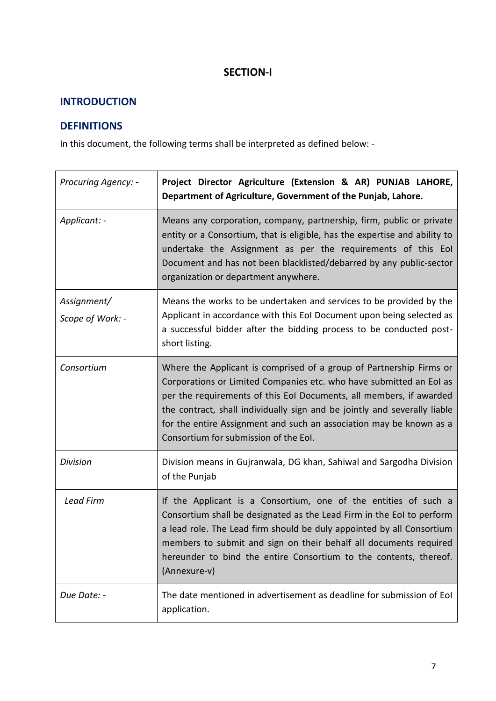### **SECTION-I**

### <span id="page-6-1"></span><span id="page-6-0"></span>**INTRODUCTION**

### <span id="page-6-2"></span>**DEFINITIONS**

In this document, the following terms shall be interpreted as defined below: -

| <b>Procuring Agency: -</b>      | Project Director Agriculture (Extension & AR) PUNJAB LAHORE,<br>Department of Agriculture, Government of the Punjab, Lahore.                                                                                                                                                                                                                                                                                   |
|---------------------------------|----------------------------------------------------------------------------------------------------------------------------------------------------------------------------------------------------------------------------------------------------------------------------------------------------------------------------------------------------------------------------------------------------------------|
| Applicant: -                    | Means any corporation, company, partnership, firm, public or private<br>entity or a Consortium, that is eligible, has the expertise and ability to<br>undertake the Assignment as per the requirements of this Eol<br>Document and has not been blacklisted/debarred by any public-sector<br>organization or department anywhere.                                                                              |
| Assignment/<br>Scope of Work: - | Means the works to be undertaken and services to be provided by the<br>Applicant in accordance with this EoI Document upon being selected as<br>a successful bidder after the bidding process to be conducted post-<br>short listing.                                                                                                                                                                          |
| Consortium                      | Where the Applicant is comprised of a group of Partnership Firms or<br>Corporations or Limited Companies etc. who have submitted an EoI as<br>per the requirements of this EoI Documents, all members, if awarded<br>the contract, shall individually sign and be jointly and severally liable<br>for the entire Assignment and such an association may be known as a<br>Consortium for submission of the Eol. |
| <b>Division</b>                 | Division means in Gujranwala, DG khan, Sahiwal and Sargodha Division<br>of the Punjab                                                                                                                                                                                                                                                                                                                          |
| <b>Lead Firm</b>                | If the Applicant is a Consortium, one of the entities of such a<br>Consortium shall be designated as the Lead Firm in the EoI to perform<br>a lead role. The Lead firm should be duly appointed by all Consortium<br>members to submit and sign on their behalf all documents required<br>hereunder to bind the entire Consortium to the contents, thereof.<br>(Annexure-v)                                    |
| Due Date: -                     | The date mentioned in advertisement as deadline for submission of EoI<br>application.                                                                                                                                                                                                                                                                                                                          |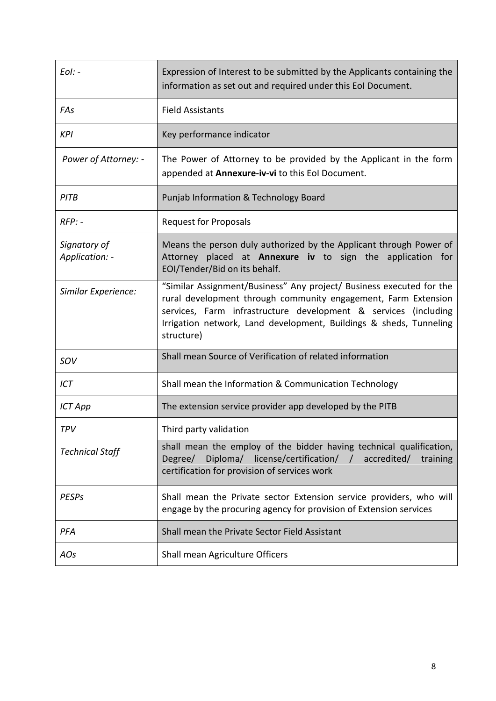| $E$ ol: -                      | Expression of Interest to be submitted by the Applicants containing the<br>information as set out and required under this EoI Document.                                                                                                                                                       |
|--------------------------------|-----------------------------------------------------------------------------------------------------------------------------------------------------------------------------------------------------------------------------------------------------------------------------------------------|
| FAs                            | <b>Field Assistants</b>                                                                                                                                                                                                                                                                       |
| <b>KPI</b>                     | Key performance indicator                                                                                                                                                                                                                                                                     |
| Power of Attorney: -           | The Power of Attorney to be provided by the Applicant in the form<br>appended at Annexure-iv-vi to this Eol Document.                                                                                                                                                                         |
| PITB                           | Punjab Information & Technology Board                                                                                                                                                                                                                                                         |
| $RFP: -$                       | <b>Request for Proposals</b>                                                                                                                                                                                                                                                                  |
| Signatory of<br>Application: - | Means the person duly authorized by the Applicant through Power of<br>Attorney placed at Annexure iv to sign the application for<br>EOI/Tender/Bid on its behalf.                                                                                                                             |
| Similar Experience:            | "Similar Assignment/Business" Any project/ Business executed for the<br>rural development through community engagement, Farm Extension<br>services, Farm infrastructure development & services (including<br>Irrigation network, Land development, Buildings & sheds, Tunneling<br>structure) |
| SOV                            | Shall mean Source of Verification of related information                                                                                                                                                                                                                                      |
| ICT                            | Shall mean the Information & Communication Technology                                                                                                                                                                                                                                         |
| <b>ICT App</b>                 | The extension service provider app developed by the PITB                                                                                                                                                                                                                                      |
| <b>TPV</b>                     | Third party validation                                                                                                                                                                                                                                                                        |
| <b>Technical Staff</b>         | shall mean the employ of the bidder having technical qualification,<br>Degree/ Diploma/ license/certification/ / accredited/<br>training<br>certification for provision of services work                                                                                                      |
| <b>PESPs</b>                   | Shall mean the Private sector Extension service providers, who will<br>engage by the procuring agency for provision of Extension services                                                                                                                                                     |
| PFA                            | Shall mean the Private Sector Field Assistant                                                                                                                                                                                                                                                 |
| AOs                            | Shall mean Agriculture Officers                                                                                                                                                                                                                                                               |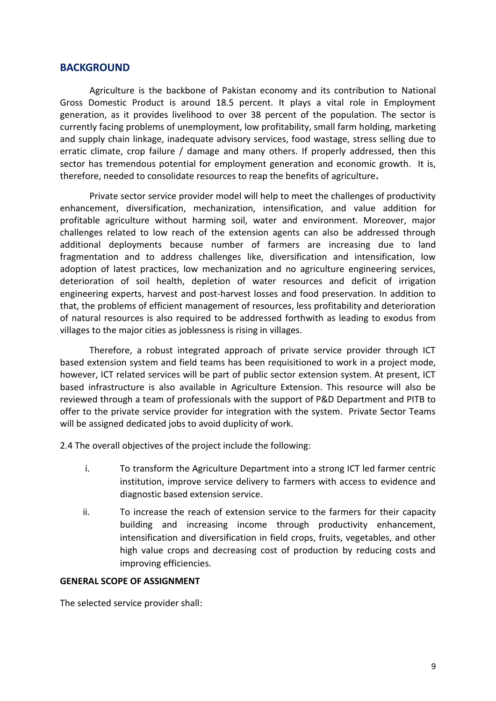#### <span id="page-8-0"></span>**BACKGROUND**

Agriculture is the backbone of Pakistan economy and its contribution to National Gross Domestic Product is around 18.5 percent. It plays a vital role in Employment generation, as it provides livelihood to over 38 percent of the population. The sector is currently facing problems of unemployment, low profitability, small farm holding, marketing and supply chain linkage, inadequate advisory services, food wastage, stress selling due to erratic climate, crop failure / damage and many others. If properly addressed, then this sector has tremendous potential for employment generation and economic growth. It is, therefore, needed to consolidate resources to reap the benefits of agriculture**.** 

Private sector service provider model will help to meet the challenges of productivity enhancement, diversification, mechanization, intensification, and value addition for profitable agriculture without harming soil, water and environment. Moreover, major challenges related to low reach of the extension agents can also be addressed through additional deployments because number of farmers are increasing due to land fragmentation and to address challenges like, diversification and intensification, low adoption of latest practices, low mechanization and no agriculture engineering services, deterioration of soil health, depletion of water resources and deficit of irrigation engineering experts, harvest and post-harvest losses and food preservation. In addition to that, the problems of efficient management of resources, less profitability and deterioration of natural resources is also required to be addressed forthwith as leading to exodus from villages to the major cities as joblessness is rising in villages.

Therefore, a robust integrated approach of private service provider through ICT based extension system and field teams has been requisitioned to work in a project mode, however, ICT related services will be part of public sector extension system. At present, ICT based infrastructure is also available in Agriculture Extension. This resource will also be reviewed through a team of professionals with the support of P&D Department and PITB to offer to the private service provider for integration with the system. Private Sector Teams will be assigned dedicated jobs to avoid duplicity of work.

2.4 The overall objectives of the project include the following:

- i. To transform the Agriculture Department into a strong ICT led farmer centric institution, improve service delivery to farmers with access to evidence and diagnostic based extension service.
- ii. To increase the reach of extension service to the farmers for their capacity building and increasing income through productivity enhancement, intensification and diversification in field crops, fruits, vegetables, and other high value crops and decreasing cost of production by reducing costs and improving efficiencies.

#### **GENERAL SCOPE OF ASSIGNMENT**

The selected service provider shall: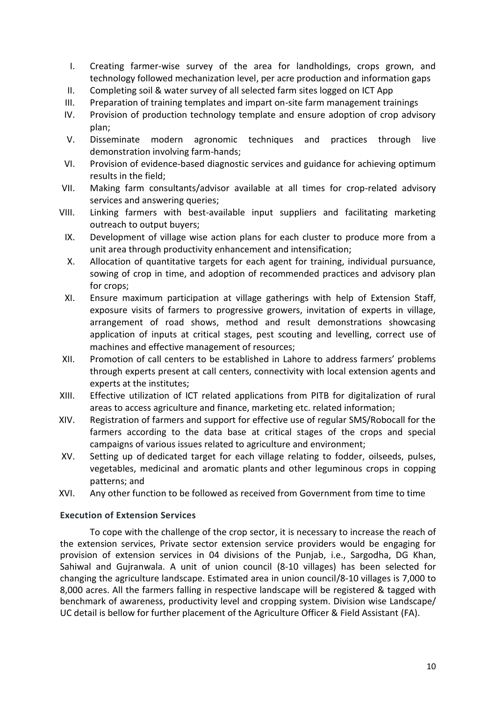- I. Creating farmer-wise survey of the area for landholdings, crops grown, and technology followed mechanization level, per acre production and information gaps
- II. Completing soil & water survey of all selected farm sites logged on ICT App
- III. Preparation of training templates and impart on-site farm management trainings
- IV. Provision of production technology template and ensure adoption of crop advisory plan;
- V. Disseminate modern agronomic techniques and practices through live demonstration involving farm-hands;
- VI. Provision of evidence-based diagnostic services and guidance for achieving optimum results in the field;
- VII. Making farm consultants/advisor available at all times for crop-related advisory services and answering queries;
- VIII. Linking farmers with best-available input suppliers and facilitating marketing outreach to output buyers;
	- IX. Development of village wise action plans for each cluster to produce more from a unit area through productivity enhancement and intensification;
	- X. Allocation of quantitative targets for each agent for training, individual pursuance, sowing of crop in time, and adoption of recommended practices and advisory plan for crops;
- XI. Ensure maximum participation at village gatherings with help of Extension Staff, exposure visits of farmers to progressive growers, invitation of experts in village, arrangement of road shows, method and result demonstrations showcasing application of inputs at critical stages, pest scouting and levelling, correct use of machines and effective management of resources;
- XII. Promotion of call centers to be established in Lahore to address farmers' problems through experts present at call centers, connectivity with local extension agents and experts at the institutes;
- XIII. Effective utilization of ICT related applications from PITB for digitalization of rural areas to access agriculture and finance, marketing etc. related information;
- XIV. Registration of farmers and support for effective use of regular SMS/Robocall for the farmers according to the data base at critical stages of the crops and special campaigns of various issues related to agriculture and environment;
- XV. Setting up of dedicated target for each village relating to fodder, oilseeds, pulses, vegetables, medicinal and aromatic plants and other leguminous crops in copping patterns; and
- <span id="page-9-0"></span>XVI. Any other function to be followed as received from Government from time to time

#### **Execution of Extension Services**

To cope with the challenge of the crop sector, it is necessary to increase the reach of the extension services, Private sector extension service providers would be engaging for provision of extension services in 04 divisions of the Punjab, i.e., Sargodha, DG Khan, Sahiwal and Gujranwala. A unit of union council (8-10 villages) has been selected for changing the agriculture landscape. Estimated area in union council/8-10 villages is 7,000 to 8,000 acres. All the farmers falling in respective landscape will be registered & tagged with benchmark of awareness, productivity level and cropping system. Division wise Landscape/ UC detail is bellow for further placement of the Agriculture Officer & Field Assistant (FA).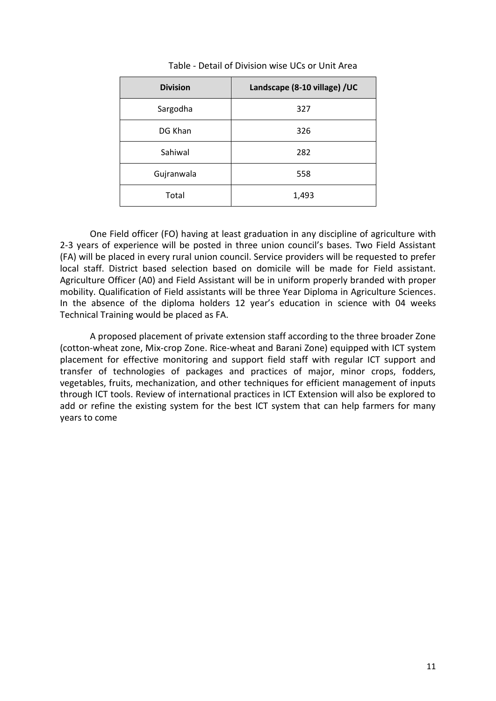| <b>Division</b> | Landscape (8-10 village) /UC |
|-----------------|------------------------------|
| Sargodha        | 327                          |
| DG Khan         | 326                          |
| Sahiwal         | 282                          |
| Gujranwala      | 558                          |
| Total           | 1,493                        |

#### Table - Detail of Division wise UCs or Unit Area

One Field officer (FO) having at least graduation in any discipline of agriculture with 2-3 years of experience will be posted in three union council's bases. Two Field Assistant (FA) will be placed in every rural union council. Service providers will be requested to prefer local staff. District based selection based on domicile will be made for Field assistant. Agriculture Officer (A0) and Field Assistant will be in uniform properly branded with proper mobility. Qualification of Field assistants will be three Year Diploma in Agriculture Sciences. In the absence of the diploma holders 12 year's education in science with 04 weeks Technical Training would be placed as FA.

A proposed placement of private extension staff according to the three broader Zone (cotton-wheat zone, Mix-crop Zone. Rice-wheat and Barani Zone) equipped with ICT system placement for effective monitoring and support field staff with regular ICT support and transfer of technologies of packages and practices of major, minor crops, fodders, vegetables, fruits, mechanization, and other techniques for efficient management of inputs through ICT tools. Review of international practices in ICT Extension will also be explored to add or refine the existing system for the best ICT system that can help farmers for many years to come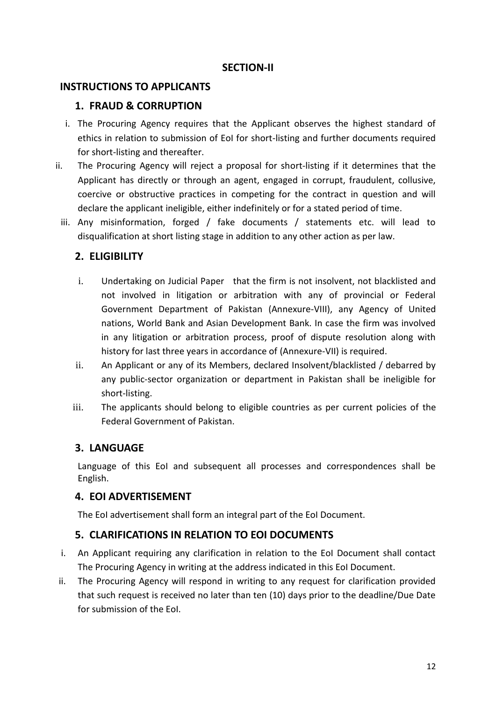#### **SECTION-II**

#### <span id="page-11-1"></span><span id="page-11-0"></span>**INSTRUCTIONS TO APPLICANTS**

#### <span id="page-11-2"></span>**1. FRAUD & CORRUPTION**

- i. The Procuring Agency requires that the Applicant observes the highest standard of ethics in relation to submission of EoI for short-listing and further documents required for short-listing and thereafter.
- ii. The Procuring Agency will reject a proposal for short-listing if it determines that the Applicant has directly or through an agent, engaged in corrupt, fraudulent, collusive, coercive or obstructive practices in competing for the contract in question and will declare the applicant ineligible, either indefinitely or for a stated period of time.
- iii. Any misinformation, forged / fake documents / statements etc. will lead to disqualification at short listing stage in addition to any other action as per law.

#### <span id="page-11-3"></span>**2. ELIGIBILITY**

- i. Undertaking on Judicial Paper that the firm is not insolvent, not blacklisted and not involved in litigation or arbitration with any of provincial or Federal Government Department of Pakistan (Annexure-VIII), any Agency of United nations, World Bank and Asian Development Bank. In case the firm was involved in any litigation or arbitration process, proof of dispute resolution along with history for last three years in accordance of (Annexure-VII) is required.
- ii. An Applicant or any of its Members, declared Insolvent/blacklisted / debarred by any public-sector organization or department in Pakistan shall be ineligible for short-listing.
- iii. The applicants should belong to eligible countries as per current policies of the Federal Government of Pakistan.

#### <span id="page-11-4"></span>**3. LANGUAGE**

Language of this EoI and subsequent all processes and correspondences shall be English.

#### <span id="page-11-5"></span>**4. EOI ADVERTISEMENT**

The EoI advertisement shall form an integral part of the EoI Document.

### <span id="page-11-6"></span>**5. CLARIFICATIONS IN RELATION TO EOI DOCUMENTS**

- i. An Applicant requiring any clarification in relation to the EoI Document shall contact The Procuring Agency in writing at the address indicated in this EoI Document.
- ii. The Procuring Agency will respond in writing to any request for clarification provided that such request is received no later than ten (10) days prior to the deadline/Due Date for submission of the EoI.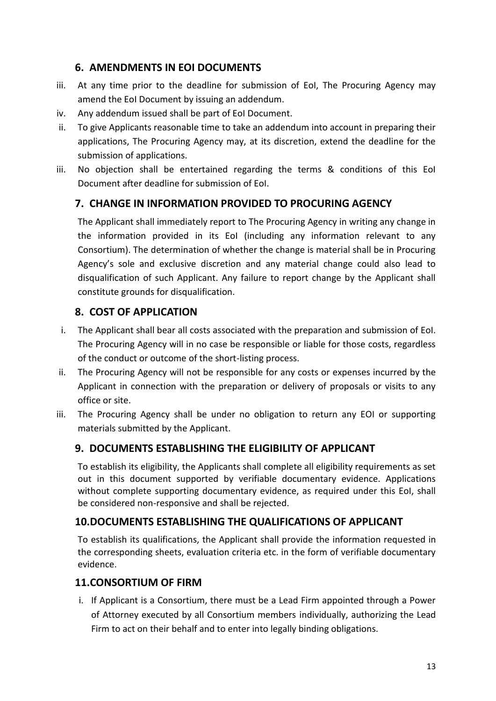### <span id="page-12-0"></span>**6. AMENDMENTS IN EOI DOCUMENTS**

- iii. At any time prior to the deadline for submission of EoI, The Procuring Agency may amend the EoI Document by issuing an addendum.
- iv. Any addendum issued shall be part of EoI Document.
- ii. To give Applicants reasonable time to take an addendum into account in preparing their applications, The Procuring Agency may, at its discretion, extend the deadline for the submission of applications.
- iii. No objection shall be entertained regarding the terms & conditions of this EoI Document after deadline for submission of EoI.

### <span id="page-12-1"></span>**7. CHANGE IN INFORMATION PROVIDED TO PROCURING AGENCY**

The Applicant shall immediately report to The Procuring Agency in writing any change in the information provided in its EoI (including any information relevant to any Consortium). The determination of whether the change is material shall be in Procuring Agency's sole and exclusive discretion and any material change could also lead to disqualification of such Applicant. Any failure to report change by the Applicant shall constitute grounds for disqualification.

### <span id="page-12-2"></span>**8. COST OF APPLICATION**

- i. The Applicant shall bear all costs associated with the preparation and submission of EoI. The Procuring Agency will in no case be responsible or liable for those costs, regardless of the conduct or outcome of the short-listing process.
- ii. The Procuring Agency will not be responsible for any costs or expenses incurred by the Applicant in connection with the preparation or delivery of proposals or visits to any office or site.
- iii. The Procuring Agency shall be under no obligation to return any EOI or supporting materials submitted by the Applicant.

#### <span id="page-12-3"></span>**9. DOCUMENTS ESTABLISHING THE ELIGIBILITY OF APPLICANT**

To establish its eligibility, the Applicants shall complete all eligibility requirements as set out in this document supported by verifiable documentary evidence. Applications without complete supporting documentary evidence, as required under this EoI, shall be considered non-responsive and shall be rejected.

#### <span id="page-12-4"></span>**10.DOCUMENTS ESTABLISHING THE QUALIFICATIONS OF APPLICANT**

To establish its qualifications, the Applicant shall provide the information requested in the corresponding sheets, evaluation criteria etc. in the form of verifiable documentary evidence.

#### <span id="page-12-5"></span>**11.CONSORTIUM OF FIRM**

i. If Applicant is a Consortium, there must be a Lead Firm appointed through a Power of Attorney executed by all Consortium members individually, authorizing the Lead Firm to act on their behalf and to enter into legally binding obligations.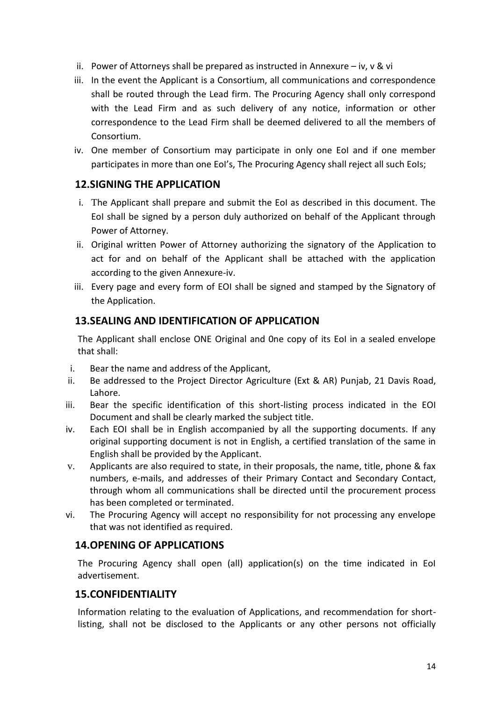- ii. Power of Attorneys shall be prepared as instructed in Annexure iv,  $v \& vi$
- iii. In the event the Applicant is a Consortium, all communications and correspondence shall be routed through the Lead firm. The Procuring Agency shall only correspond with the Lead Firm and as such delivery of any notice, information or other correspondence to the Lead Firm shall be deemed delivered to all the members of Consortium.
- iv. One member of Consortium may participate in only one EoI and if one member participates in more than one EoI's, The Procuring Agency shall reject all such EoIs;

### <span id="page-13-0"></span>**12.SIGNING THE APPLICATION**

- i. The Applicant shall prepare and submit the EoI as described in this document. The EoI shall be signed by a person duly authorized on behalf of the Applicant through Power of Attorney.
- ii. Original written Power of Attorney authorizing the signatory of the Application to act for and on behalf of the Applicant shall be attached with the application according to the given Annexure-iv.
- iii. Every page and every form of EOI shall be signed and stamped by the Signatory of the Application.

### <span id="page-13-1"></span>**13.SEALING AND IDENTIFICATION OF APPLICATION**

The Applicant shall enclose ONE Original and 0ne copy of its EoI in a sealed envelope that shall:

- i. Bear the name and address of the Applicant,
- ii. Be addressed to the Project Director Agriculture (Ext & AR) Punjab, 21 Davis Road, Lahore.
- iii. Bear the specific identification of this short-listing process indicated in the EOI Document and shall be clearly marked the subject title.
- iv. Each EOI shall be in English accompanied by all the supporting documents. If any original supporting document is not in English, a certified translation of the same in English shall be provided by the Applicant.
- v. Applicants are also required to state, in their proposals, the name, title, phone & fax numbers, e-mails, and addresses of their Primary Contact and Secondary Contact, through whom all communications shall be directed until the procurement process has been completed or terminated.
- vi. The Procuring Agency will accept no responsibility for not processing any envelope that was not identified as required.

### <span id="page-13-2"></span>**14.OPENING OF APPLICATIONS**

The Procuring Agency shall open (all) application(s) on the time indicated in EoI advertisement.

#### <span id="page-13-3"></span>**15.CONFIDENTIALITY**

Information relating to the evaluation of Applications, and recommendation for shortlisting, shall not be disclosed to the Applicants or any other persons not officially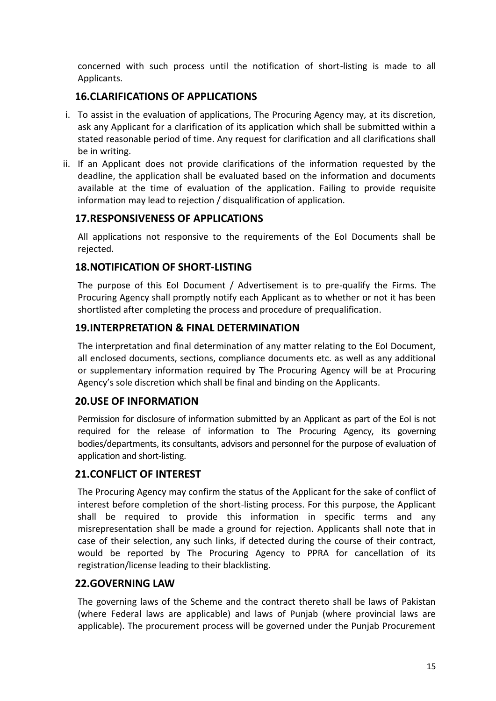concerned with such process until the notification of short-listing is made to all Applicants.

### <span id="page-14-0"></span>**16.CLARIFICATIONS OF APPLICATIONS**

- i. To assist in the evaluation of applications, The Procuring Agency may, at its discretion, ask any Applicant for a clarification of its application which shall be submitted within a stated reasonable period of time. Any request for clarification and all clarifications shall be in writing.
- ii. If an Applicant does not provide clarifications of the information requested by the deadline, the application shall be evaluated based on the information and documents available at the time of evaluation of the application. Failing to provide requisite information may lead to rejection / disqualification of application.

### <span id="page-14-1"></span>**17.RESPONSIVENESS OF APPLICATIONS**

All applications not responsive to the requirements of the EoI Documents shall be rejected.

### <span id="page-14-2"></span>**18.NOTIFICATION OF SHORT-LISTING**

The purpose of this EoI Document / Advertisement is to pre-qualify the Firms. The Procuring Agency shall promptly notify each Applicant as to whether or not it has been shortlisted after completing the process and procedure of prequalification.

### <span id="page-14-3"></span>**19.INTERPRETATION & FINAL DETERMINATION**

The interpretation and final determination of any matter relating to the EoI Document, all enclosed documents, sections, compliance documents etc. as well as any additional or supplementary information required by The Procuring Agency will be at Procuring Agency's sole discretion which shall be final and binding on the Applicants.

#### <span id="page-14-4"></span>**20.USE OF INFORMATION**

Permission for disclosure of information submitted by an Applicant as part of the EoI is not required for the release of information to The Procuring Agency, its governing bodies/departments, its consultants, advisors and personnel for the purpose of evaluation of application and short-listing.

#### <span id="page-14-5"></span>**21.CONFLICT OF INTEREST**

The Procuring Agency may confirm the status of the Applicant for the sake of conflict of interest before completion of the short-listing process. For this purpose, the Applicant shall be required to provide this information in specific terms and any misrepresentation shall be made a ground for rejection. Applicants shall note that in case of their selection, any such links, if detected during the course of their contract, would be reported by The Procuring Agency to PPRA for cancellation of its registration/license leading to their blacklisting.

### <span id="page-14-6"></span>**22.GOVERNING LAW**

The governing laws of the Scheme and the contract thereto shall be laws of Pakistan (where Federal laws are applicable) and laws of Punjab (where provincial laws are applicable). The procurement process will be governed under the Punjab Procurement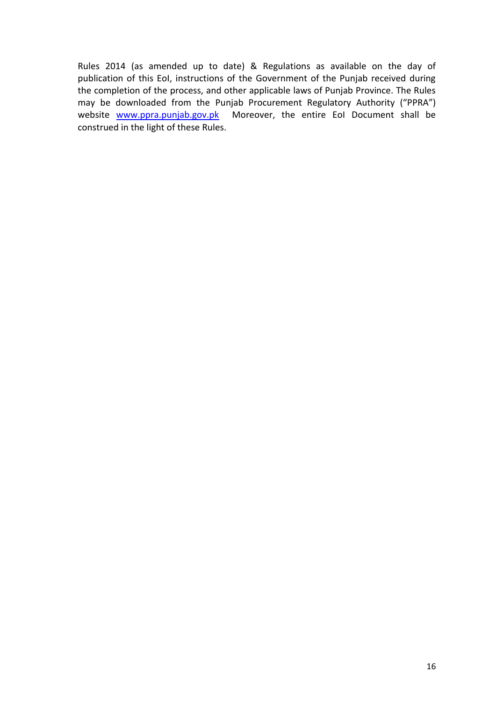Rules 2014 (as amended up to date) & Regulations as available on the day of publication of this EoI, instructions of the Government of the Punjab received during the completion of the process, and other applicable laws of Punjab Province. The Rules may be downloaded from the Punjab Procurement Regulatory Authority ("PPRA") website [www.ppra.punjab.gov.pk](http://www.ppra.punjab.gov.pk/) Moreover, the entire EoI Document shall be construed in the light of these Rules.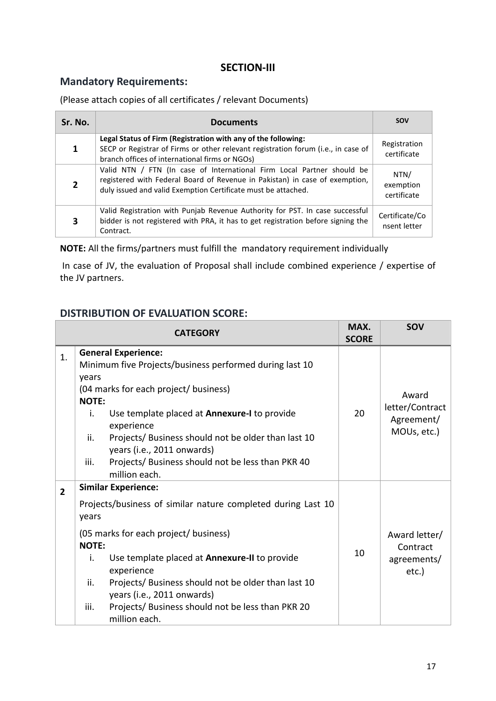#### **SECTION-III**

### <span id="page-16-1"></span><span id="page-16-0"></span>**Mandatory Requirements:**

#### (Please attach copies of all certificates / relevant Documents)

| Sr. No. | <b>Documents</b>                                                                                                                                                                                                       | <b>SOV</b>                       |
|---------|------------------------------------------------------------------------------------------------------------------------------------------------------------------------------------------------------------------------|----------------------------------|
| 1       | Legal Status of Firm (Registration with any of the following:<br>SECP or Registrar of Firms or other relevant registration forum (i.e., in case of<br>branch offices of international firms or NGOs)                   | Registration<br>certificate      |
|         | Valid NTN / FTN (In case of International Firm Local Partner should be<br>registered with Federal Board of Revenue in Pakistan) in case of exemption,<br>duly issued and valid Exemption Certificate must be attached. | NTN/<br>exemption<br>certificate |
| 3       | Valid Registration with Punjab Revenue Authority for PST. In case successful<br>bidder is not registered with PRA, it has to get registration before signing the<br>Contract.                                          | Certificate/Co<br>nsent letter   |

**NOTE:** All the firms/partners must fulfill the mandatory requirement individually

In case of JV, the evaluation of Proposal shall include combined experience / expertise of the JV partners.

#### <span id="page-16-2"></span>**DISTRIBUTION OF EVALUATION SCORE:**

|                | <b>CATEGORY</b>                                                                                                                                                                                                                                                                                                                                                                                             | MAX.<br><b>SCORE</b> | <b>SOV</b>                                            |
|----------------|-------------------------------------------------------------------------------------------------------------------------------------------------------------------------------------------------------------------------------------------------------------------------------------------------------------------------------------------------------------------------------------------------------------|----------------------|-------------------------------------------------------|
| 1.             | <b>General Experience:</b><br>Minimum five Projects/business performed during last 10<br>years<br>(04 marks for each project/ business)<br><b>NOTE:</b><br>Use template placed at Annexure-I to provide<br>i.<br>experience<br>Projects/ Business should not be older than last 10<br>ii.<br>years (i.e., 2011 onwards)<br>Projects/ Business should not be less than PKR 40<br>iii.<br>million each.       | 20                   | Award<br>letter/Contract<br>Agreement/<br>MOUs, etc.) |
| $\overline{2}$ | <b>Similar Experience:</b><br>Projects/business of similar nature completed during Last 10<br>years<br>(05 marks for each project/ business)<br><b>NOTE:</b><br>Use template placed at Annexure-II to provide<br>i.<br>experience<br>ii.<br>Projects/ Business should not be older than last 10<br>years (i.e., 2011 onwards)<br>iii.<br>Projects/ Business should not be less than PKR 20<br>million each. |                      | Award letter/<br>Contract<br>agreements/<br>etc.)     |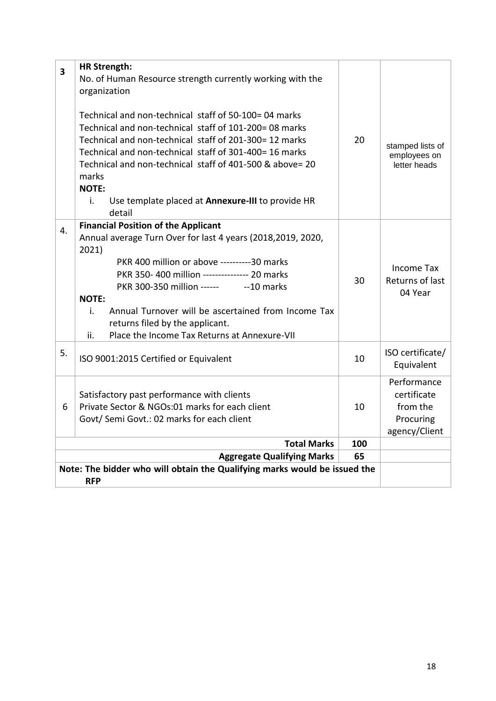| 3                                                                         | <b>HR Strength:</b>                                         |           |                                                 |
|---------------------------------------------------------------------------|-------------------------------------------------------------|-----------|-------------------------------------------------|
|                                                                           | No. of Human Resource strength currently working with the   |           |                                                 |
|                                                                           | organization                                                |           |                                                 |
|                                                                           |                                                             |           |                                                 |
|                                                                           | Technical and non-technical staff of 50-100= 04 marks       |           |                                                 |
|                                                                           | Technical and non-technical staff of 101-200=08 marks       |           |                                                 |
|                                                                           | Technical and non-technical staff of 201-300= 12 marks      | 20        | stamped lists of                                |
|                                                                           | Technical and non-technical staff of 301-400= 16 marks      |           | employees on                                    |
|                                                                           | Technical and non-technical staff of 401-500 & above= 20    |           | letter heads                                    |
|                                                                           | marks                                                       |           |                                                 |
|                                                                           | <b>NOTE:</b>                                                |           |                                                 |
|                                                                           | i.<br>Use template placed at Annexure-III to provide HR     |           |                                                 |
|                                                                           | detail                                                      |           |                                                 |
| 4.                                                                        | <b>Financial Position of the Applicant</b>                  |           |                                                 |
|                                                                           | Annual average Turn Over for last 4 years (2018,2019, 2020, |           |                                                 |
|                                                                           | 2021)                                                       |           |                                                 |
|                                                                           | PKR 400 million or above ----------30 marks                 | 30        | <b>Income Tax</b><br>Returns of last<br>04 Year |
|                                                                           | PKR 350-400 million -------------- 20 marks                 |           |                                                 |
|                                                                           | PKR 300-350 million ------<br>--10 marks                    |           |                                                 |
|                                                                           | <b>NOTE:</b>                                                |           |                                                 |
|                                                                           | i.<br>Annual Turnover will be ascertained from Income Tax   |           |                                                 |
|                                                                           | returns filed by the applicant.                             |           |                                                 |
|                                                                           | ii.<br>Place the Income Tax Returns at Annexure-VII         |           |                                                 |
| 5.                                                                        |                                                             |           | ISO certificate/                                |
|                                                                           | ISO 9001:2015 Certified or Equivalent                       | 10        | Equivalent                                      |
|                                                                           |                                                             |           |                                                 |
|                                                                           |                                                             |           | Performance<br>certificate                      |
|                                                                           | Satisfactory past performance with clients                  |           |                                                 |
| 6                                                                         | Private Sector & NGOs:01 marks for each client              | 10        | from the                                        |
|                                                                           | Govt/ Semi Govt.: 02 marks for each client                  |           | Procuring                                       |
|                                                                           |                                                             |           | agency/Client                                   |
|                                                                           | <b>Total Marks</b><br><b>Aggregate Qualifying Marks</b>     | 100<br>65 |                                                 |
|                                                                           |                                                             |           |                                                 |
| Note: The bidder who will obtain the Qualifying marks would be issued the |                                                             |           |                                                 |
|                                                                           |                                                             |           |                                                 |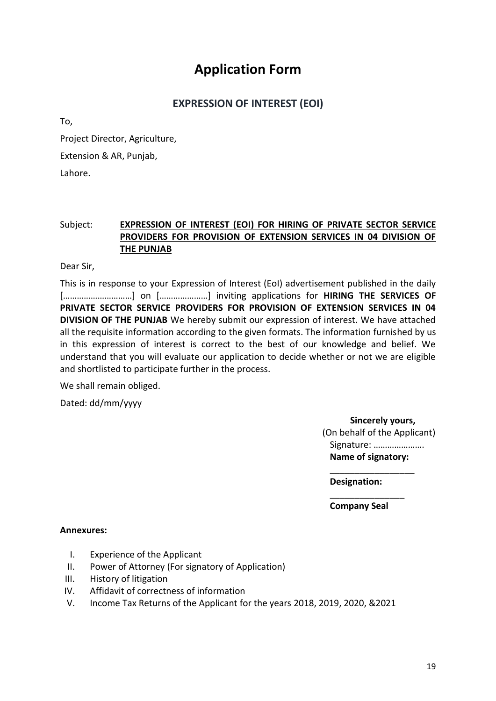## **Application Form**

### **EXPRESSION OF INTEREST (EOI)**

<span id="page-18-0"></span>To,

Project Director, Agriculture, Extension & AR, Punjab,

Lahore.

#### Subject: **EXPRESSION OF INTEREST (EOI) FOR HIRING OF PRIVATE SECTOR SERVICE PROVIDERS FOR PROVISION OF EXTENSION SERVICES IN 04 DIVISION OF THE PUNJAB**

Dear Sir,

This is in response to your Expression of Interest (EoI) advertisement published in the daily [...............................] on [.....................] inviting applications for **HIRING THE SERVICES OF PRIVATE SECTOR SERVICE PROVIDERS FOR PROVISION OF EXTENSION SERVICES IN 04 DIVISION OF THE PUNJAB** We hereby submit our expression of interest. We have attached all the requisite information according to the given formats. The information furnished by us in this expression of interest is correct to the best of our knowledge and belief. We understand that you will evaluate our application to decide whether or not we are eligible and shortlisted to participate further in the process.

We shall remain obliged.

Dated: dd/mm/yyyy

**Sincerely yours,** (On behalf of the Applicant) Signature: …………………. **Name of signatory:**

\_\_\_\_\_\_\_\_\_\_\_\_\_\_\_\_\_

**Designation:**

\_\_\_\_\_\_\_\_\_\_\_\_\_\_\_ **Company Seal**

#### **Annexures:**

- I. Experience of the Applicant
- II. Power of Attorney (For signatory of Application)
- III. History of litigation
- IV. Affidavit of correctness of information
- V. Income Tax Returns of the Applicant for the years 2018, 2019, 2020, &2021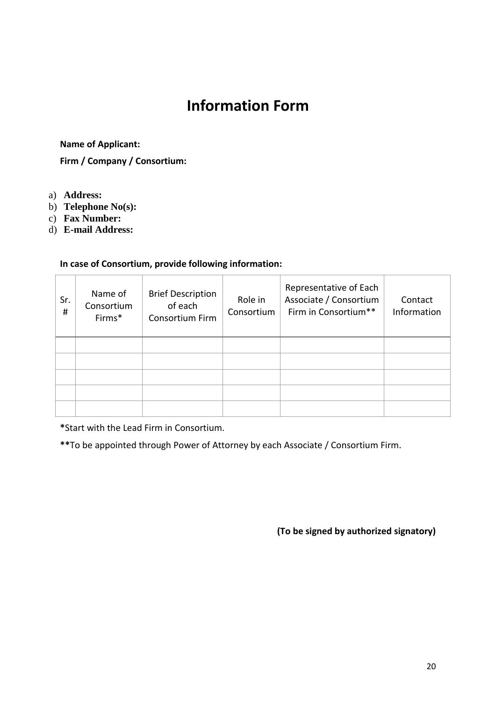# **Information Form**

#### <span id="page-19-0"></span>**Name of Applicant:**

**Firm / Company / Consortium:** 

- a) **Address:**
- b) **Telephone No(s):**
- c) **Fax Number:**
- d) **E-mail Address:**

#### **In case of Consortium, provide following information:**

| Sr.<br># | Name of<br>Consortium<br>Firms* | <b>Brief Description</b><br>of each<br>Consortium Firm | Role in<br>Consortium | Representative of Each<br>Associate / Consortium<br>Firm in Consortium** | Contact<br>Information |
|----------|---------------------------------|--------------------------------------------------------|-----------------------|--------------------------------------------------------------------------|------------------------|
|          |                                 |                                                        |                       |                                                                          |                        |
|          |                                 |                                                        |                       |                                                                          |                        |
|          |                                 |                                                        |                       |                                                                          |                        |
|          |                                 |                                                        |                       |                                                                          |                        |
|          |                                 |                                                        |                       |                                                                          |                        |

**\***Start with the Lead Firm in Consortium.

**\*\***To be appointed through Power of Attorney by each Associate / Consortium Firm.

**(To be signed by authorized signatory)**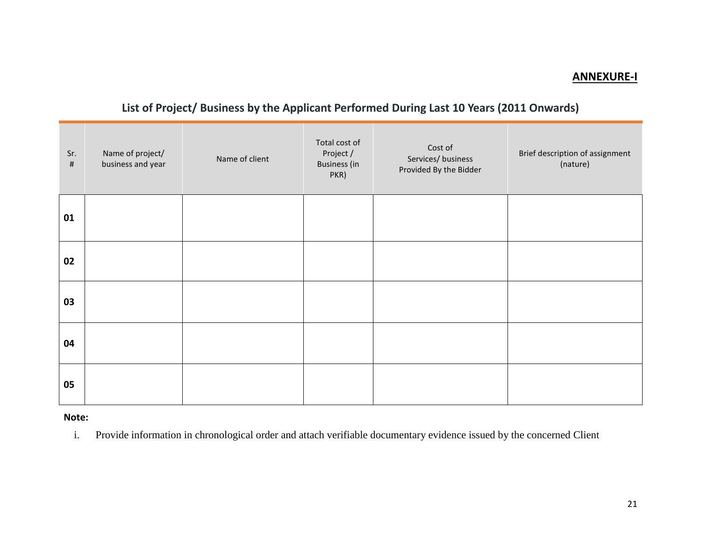#### **ANNEXURE-I**

### **List of Project/ Business by the Applicant Performed During Last 10 Years (2011 Onwards)**

| Sr.<br>$\#$ | Name of project/<br>business and year | Name of client | Total cost of<br>Project /<br><b>Business (in</b><br>PKR) | Cost of<br>Services/ business<br>Provided By the Bidder | Brief description of assignment<br>(nature) |
|-------------|---------------------------------------|----------------|-----------------------------------------------------------|---------------------------------------------------------|---------------------------------------------|
| 01          |                                       |                |                                                           |                                                         |                                             |
| 02          |                                       |                |                                                           |                                                         |                                             |
| 03          |                                       |                |                                                           |                                                         |                                             |
| 04          |                                       |                |                                                           |                                                         |                                             |
| 05          |                                       |                |                                                           |                                                         |                                             |

<span id="page-20-0"></span>**Note:**

i. Provide information in chronological order and attach verifiable documentary evidence issued by the concerned Client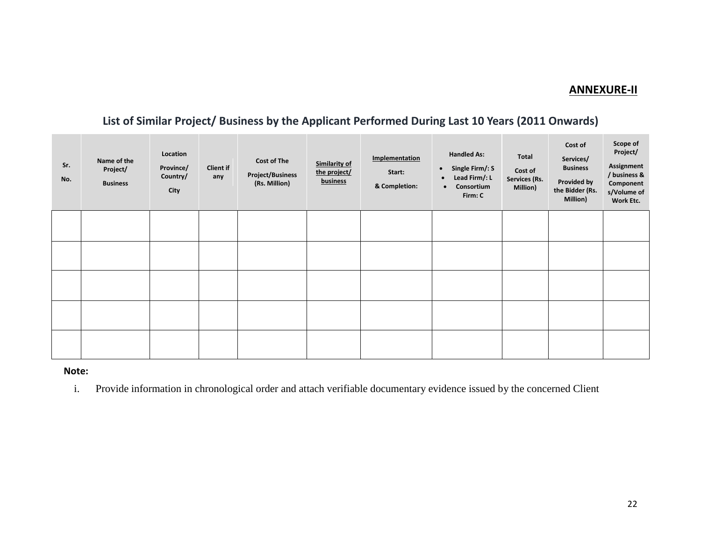#### **ANNEXURE-II**

### **List of Similar Project/ Business by the Applicant Performed During Last 10 Years (2011 Onwards)**

| Sr.<br>No. | Name of the<br>Project/<br><b>Business</b> | Location<br>Province/<br>Country/<br>City | Client if<br>any | <b>Cost of The</b><br><b>Project/Business</b><br>(Rs. Million) | <b>Similarity of</b><br>the project/<br>business | Implementation<br>Start:<br>& Completion: | <b>Handled As:</b><br>$\bullet$ Single Firm/: S<br>Lead Firm/: L<br>$\bullet$<br>Consortium<br>$\bullet$<br>Firm: C | Total<br>Cost of<br>Services (Rs.<br>Million) | Cost of<br>Services/<br><b>Business</b><br>Provided by<br>the Bidder (Rs.<br>Million) | Scope of<br>Project/<br>Assignment<br>/ business &<br>Component<br>s/Volume of<br>Work Etc. |
|------------|--------------------------------------------|-------------------------------------------|------------------|----------------------------------------------------------------|--------------------------------------------------|-------------------------------------------|---------------------------------------------------------------------------------------------------------------------|-----------------------------------------------|---------------------------------------------------------------------------------------|---------------------------------------------------------------------------------------------|
|            |                                            |                                           |                  |                                                                |                                                  |                                           |                                                                                                                     |                                               |                                                                                       |                                                                                             |
|            |                                            |                                           |                  |                                                                |                                                  |                                           |                                                                                                                     |                                               |                                                                                       |                                                                                             |
|            |                                            |                                           |                  |                                                                |                                                  |                                           |                                                                                                                     |                                               |                                                                                       |                                                                                             |
|            |                                            |                                           |                  |                                                                |                                                  |                                           |                                                                                                                     |                                               |                                                                                       |                                                                                             |
|            |                                            |                                           |                  |                                                                |                                                  |                                           |                                                                                                                     |                                               |                                                                                       |                                                                                             |

#### **Note:**

i. Provide information in chronological order and attach verifiable documentary evidence issued by the concerned Client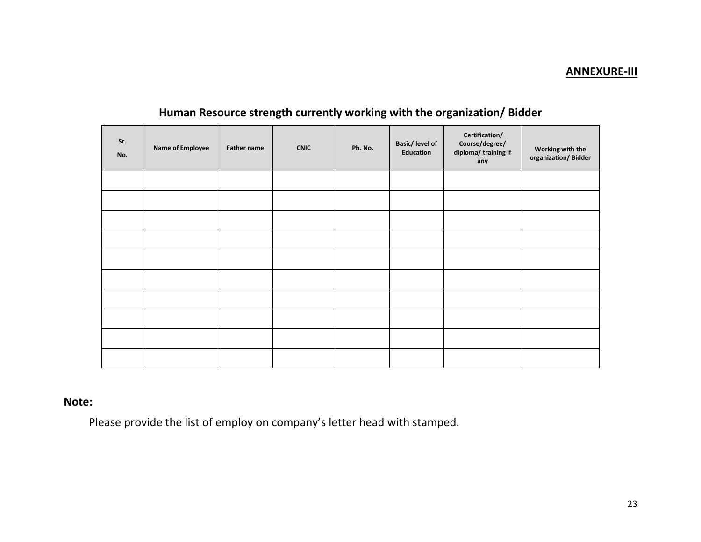#### **ANNEXURE-III**

| Sr.<br>No. | <b>Name of Employee</b> | Father name | <b>CNIC</b> | Ph. No. | Basic/ level of<br>Education | Certification/<br>Course/degree/<br>diploma/training if<br>any | Working with the<br>organization/Bidder |
|------------|-------------------------|-------------|-------------|---------|------------------------------|----------------------------------------------------------------|-----------------------------------------|
|            |                         |             |             |         |                              |                                                                |                                         |
|            |                         |             |             |         |                              |                                                                |                                         |
|            |                         |             |             |         |                              |                                                                |                                         |
|            |                         |             |             |         |                              |                                                                |                                         |
|            |                         |             |             |         |                              |                                                                |                                         |
|            |                         |             |             |         |                              |                                                                |                                         |
|            |                         |             |             |         |                              |                                                                |                                         |
|            |                         |             |             |         |                              |                                                                |                                         |
|            |                         |             |             |         |                              |                                                                |                                         |
|            |                         |             |             |         |                              |                                                                |                                         |

### **Human Resource strength currently working with the organization/ Bidder**

### **Note:**

Please provide the list of employ on company's letter head with stamped.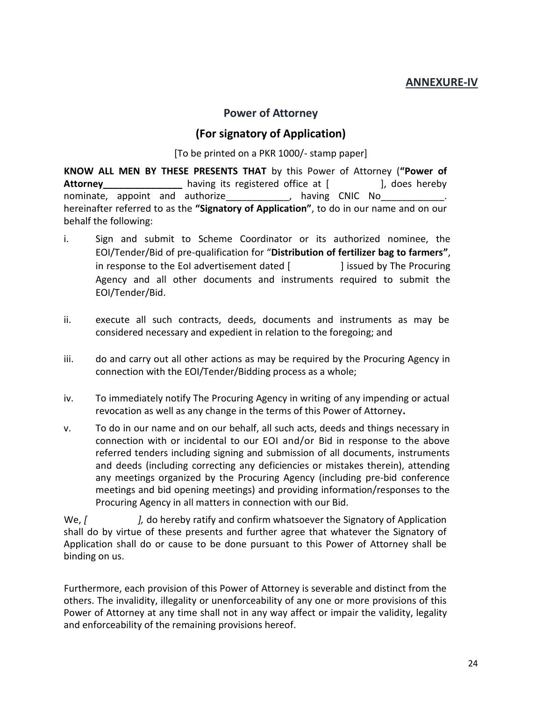#### **ANNEXURE-IV**

#### **Power of Attorney**

#### **(For signatory of Application)**

[To be printed on a PKR 1000/- stamp paper]

<span id="page-23-1"></span><span id="page-23-0"></span>**KNOW ALL MEN BY THESE PRESENTS THAT** by this Power of Attorney (**"Power of**  Attorney **Attorney having its registered office at [ ], does hereby** nominate, appoint and authorize\_\_\_\_\_\_\_\_\_\_\_\_, having CNIC No\_ hereinafter referred to as the **"Signatory of Application"**, to do in our name and on our behalf the following:

- i. Sign and submit to Scheme Coordinator or its authorized nominee, the EOI/Tender/Bid of pre-qualification for "**Distribution of fertilizer bag to farmers"**, in response to the EoI advertisement dated [ ] issued by The Procuring Agency and all other documents and instruments required to submit the EOI/Tender/Bid.
- ii. execute all such contracts, deeds, documents and instruments as may be considered necessary and expedient in relation to the foregoing; and
- iii. do and carry out all other actions as may be required by the Procuring Agency in connection with the EOI/Tender/Bidding process as a whole;
- iv. To immediately notify The Procuring Agency in writing of any impending or actual revocation as well as any change in the terms of this Power of Attorney**.**
- v. To do in our name and on our behalf, all such acts, deeds and things necessary in connection with or incidental to our EOI and/or Bid in response to the above referred tenders including signing and submission of all documents, instruments and deeds (including correcting any deficiencies or mistakes therein), attending any meetings organized by the Procuring Agency (including pre-bid conference meetings and bid opening meetings) and providing information/responses to the Procuring Agency in all matters in connection with our Bid.

We,  $\int$  *l*, do hereby ratify and confirm whatsoever the Signatory of Application shall do by virtue of these presents and further agree that whatever the Signatory of Application shall do or cause to be done pursuant to this Power of Attorney shall be binding on us.

Furthermore, each provision of this Power of Attorney is severable and distinct from the others. The invalidity, illegality or unenforceability of any one or more provisions of this Power of Attorney at any time shall not in any way affect or impair the validity, legality and enforceability of the remaining provisions hereof.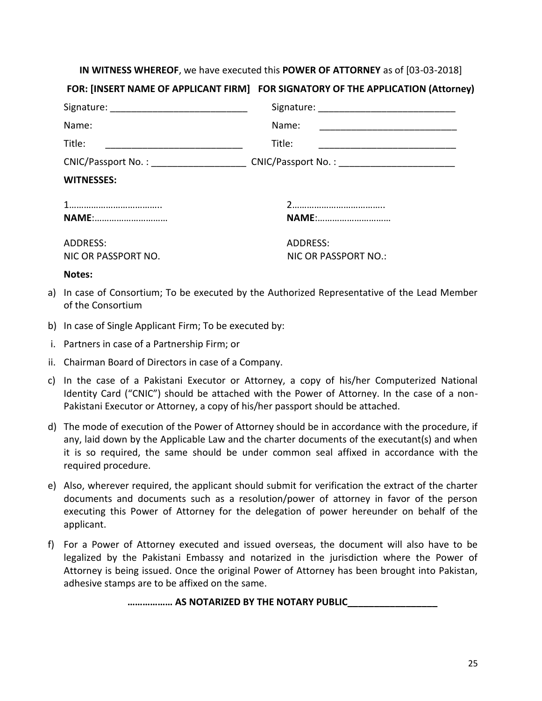#### **IN WITNESS WHEREOF**, we have executed this **POWER OF ATTORNEY** as of [03-03-2018]

#### **FOR: [INSERT NAME OF APPLICANT FIRM] FOR SIGNATORY OF THE APPLICATION (Attorney)**

| Name:               | Name:                |
|---------------------|----------------------|
| Title:              | Title:               |
|                     |                      |
| <b>WITNESSES:</b>   |                      |
|                     |                      |
| <b>NAME:</b>        | <b>NAME:</b>         |
| ADDRESS:            | ADDRESS:             |
| NIC OR PASSPORT NO. | NIC OR PASSPORT NO.: |
| Notes:              |                      |

- a) In case of Consortium; To be executed by the Authorized Representative of the Lead Member of the Consortium
- b) In case of Single Applicant Firm; To be executed by:
- i. Partners in case of a Partnership Firm; or
- ii. Chairman Board of Directors in case of a Company.
- c) In the case of a Pakistani Executor or Attorney, a copy of his/her Computerized National Identity Card ("CNIC") should be attached with the Power of Attorney. In the case of a non-Pakistani Executor or Attorney, a copy of his/her passport should be attached.
- d) The mode of execution of the Power of Attorney should be in accordance with the procedure, if any, laid down by the Applicable Law and the charter documents of the executant(s) and when it is so required, the same should be under common seal affixed in accordance with the required procedure.
- e) Also, wherever required, the applicant should submit for verification the extract of the charter documents and documents such as a resolution/power of attorney in favor of the person executing this Power of Attorney for the delegation of power hereunder on behalf of the applicant.
- f) For a Power of Attorney executed and issued overseas, the document will also have to be legalized by the Pakistani Embassy and notarized in the jurisdiction where the Power of Attorney is being issued. Once the original Power of Attorney has been brought into Pakistan, adhesive stamps are to be affixed on the same.

**……………… AS NOTARIZED BY THE NOTARY PUBLIC\_\_\_\_\_\_\_\_\_\_\_\_\_\_\_\_\_**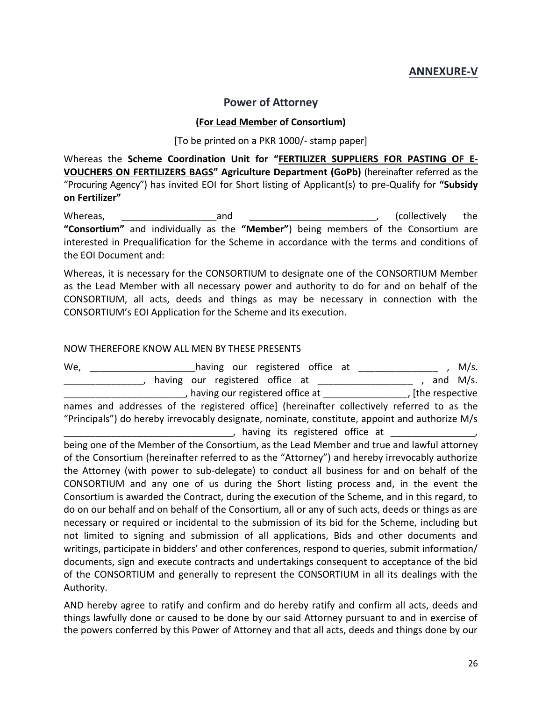#### **ANNEXURE-V**

#### **Power of Attorney**

#### **(For Lead Member of Consortium)**

#### [To be printed on a PKR 1000/- stamp paper]

<span id="page-25-1"></span><span id="page-25-0"></span>Whereas the **Scheme Coordination Unit for "FERTILIZER SUPPLIERS FOR PASTING OF E-VOUCHERS ON FERTILIZERS BAGS" Agriculture Department (GoPb)** (hereinafter referred as the "Procuring Agency") has invited EOI for Short listing of Applicant(s) to pre-Qualify for **"Subsidy on Fertilizer"**

Whereas, **with a construct a** and <u>entity and a collectively</u> the **"Consortium"** and individually as the **"Member"**) being members of the Consortium are interested in Prequalification for the Scheme in accordance with the terms and conditions of the EOI Document and:

Whereas, it is necessary for the CONSORTIUM to designate one of the CONSORTIUM Member as the Lead Member with all necessary power and authority to do for and on behalf of the CONSORTIUM, all acts, deeds and things as may be necessary in connection with the CONSORTIUM's EOI Application for the Scheme and its execution.

#### NOW THEREFORE KNOW ALL MEN BY THESE PRESENTS

We, \_\_\_\_\_\_\_\_\_\_\_\_\_\_\_\_\_\_\_\_\_\_having our registered office at \_\_\_\_\_\_\_\_\_\_\_\_\_\_\_\_\_\_ , M/s. , having our registered office at  $\frac{1}{2}$  and M/s. \_\_\_\_\_\_\_\_\_\_\_\_\_\_\_\_\_\_\_\_\_\_\_, having our registered office at \_\_\_\_\_\_\_\_\_\_\_\_\_\_\_\_, [the respective names and addresses of the registered office] (hereinafter collectively referred to as the "Principals") do hereby irrevocably designate, nominate, constitute, appoint and authorize M/s , having its registered office at \_\_\_\_\_\_\_\_\_\_\_\_\_\_\_\_,

being one of the Member of the Consortium, as the Lead Member and true and lawful attorney of the Consortium (hereinafter referred to as the "Attorney") and hereby irrevocably authorize the Attorney (with power to sub-delegate) to conduct all business for and on behalf of the CONSORTIUM and any one of us during the Short listing process and, in the event the Consortium is awarded the Contract, during the execution of the Scheme, and in this regard, to do on our behalf and on behalf of the Consortium, all or any of such acts, deeds or things as are necessary or required or incidental to the submission of its bid for the Scheme, including but not limited to signing and submission of all applications, Bids and other documents and writings, participate in bidders' and other conferences, respond to queries, submit information/ documents, sign and execute contracts and undertakings consequent to acceptance of the bid of the CONSORTIUM and generally to represent the CONSORTIUM in all its dealings with the Authority.

AND hereby agree to ratify and confirm and do hereby ratify and confirm all acts, deeds and things lawfully done or caused to be done by our said Attorney pursuant to and in exercise of the powers conferred by this Power of Attorney and that all acts, deeds and things done by our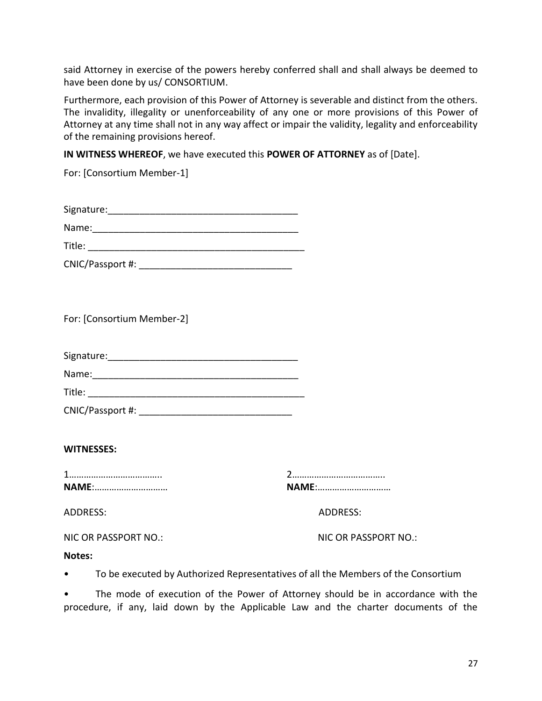said Attorney in exercise of the powers hereby conferred shall and shall always be deemed to have been done by us/ CONSORTIUM.

Furthermore, each provision of this Power of Attorney is severable and distinct from the others. The invalidity, illegality or unenforceability of any one or more provisions of this Power of Attorney at any time shall not in any way affect or impair the validity, legality and enforceability of the remaining provisions hereof.

**IN WITNESS WHEREOF**, we have executed this **POWER OF ATTORNEY** as of [Date].

For: [Consortium Member-1]

| Signature: |  |
|------------|--|
| Name:      |  |
| Title:     |  |

| CNIC/Passport #: |  |
|------------------|--|
|------------------|--|

For: [Consortium Member-2]

| Signature: |  |  |  |
|------------|--|--|--|
| Name:      |  |  |  |

| Title: |  |
|--------|--|
|        |  |

| CNIC/Passport #: |  |
|------------------|--|
|------------------|--|

#### **WITNESSES:**

1……………………………….. 2……………………………….. **NAME**:………………………… **NAME**:…………………………

| <b>NAME:</b> |  |
|--------------|--|

ADDRESS: ADDRESS:

NIC OR PASSPORT NO.: NIC OR PASSPORT NO.:

#### **Notes:**

• To be executed by Authorized Representatives of all the Members of the Consortium

The mode of execution of the Power of Attorney should be in accordance with the procedure, if any, laid down by the Applicable Law and the charter documents of the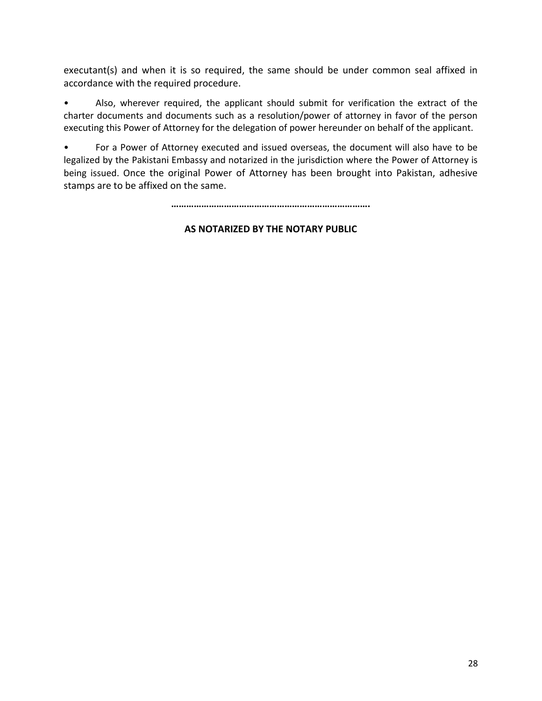executant(s) and when it is so required, the same should be under common seal affixed in accordance with the required procedure.

• Also, wherever required, the applicant should submit for verification the extract of the charter documents and documents such as a resolution/power of attorney in favor of the person executing this Power of Attorney for the delegation of power hereunder on behalf of the applicant.

• For a Power of Attorney executed and issued overseas, the document will also have to be legalized by the Pakistani Embassy and notarized in the jurisdiction where the Power of Attorney is being issued. Once the original Power of Attorney has been brought into Pakistan, adhesive stamps are to be affixed on the same.

**…………………………………………………………………….**

#### **AS NOTARIZED BY THE NOTARY PUBLIC**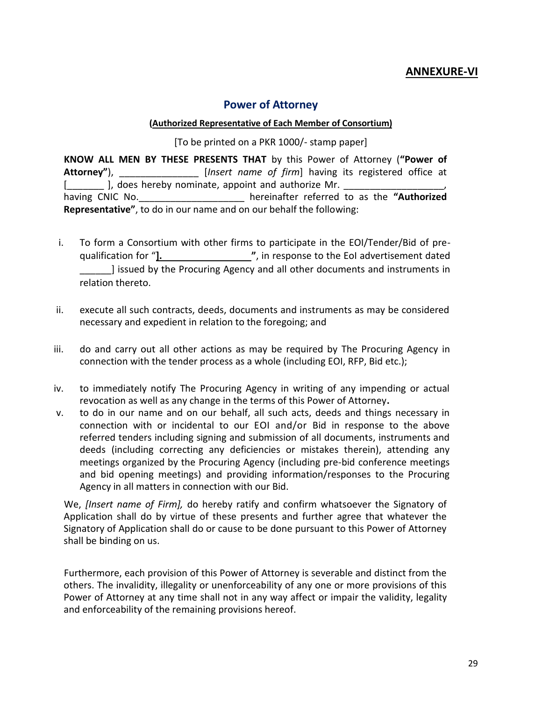#### **ANNEXURE-VI**

#### **Power of Attorney**

#### **(Authorized Representative of Each Member of Consortium)**

[To be printed on a PKR 1000/- stamp paper]

<span id="page-28-0"></span>**KNOW ALL MEN BY THESE PRESENTS THAT** by this Power of Attorney (**"Power of Attorney"**), \_\_\_\_\_\_\_\_\_\_\_\_\_\_\_ [*Insert name of firm*] having its registered office at [ ], does hereby nominate, appoint and authorize Mr. having CNIC No.\_\_\_\_\_\_\_\_\_\_\_\_\_\_\_\_\_\_\_\_ hereinafter referred to as the **"Authorized Representative"**, to do in our name and on our behalf the following:

- i. To form a Consortium with other firms to participate in the EOI/Tender/Bid of prequalification for "**]. "**, in response to the EoI advertisement dated \_\_\_\_\_\_] issued by the Procuring Agency and all other documents and instruments in relation thereto.
- ii. execute all such contracts, deeds, documents and instruments as may be considered necessary and expedient in relation to the foregoing; and
- iii. do and carry out all other actions as may be required by The Procuring Agency in connection with the tender process as a whole (including EOI, RFP, Bid etc.);
- iv. to immediately notify The Procuring Agency in writing of any impending or actual revocation as well as any change in the terms of this Power of Attorney**.**
- v. to do in our name and on our behalf, all such acts, deeds and things necessary in connection with or incidental to our EOI and/or Bid in response to the above referred tenders including signing and submission of all documents, instruments and deeds (including correcting any deficiencies or mistakes therein), attending any meetings organized by the Procuring Agency (including pre-bid conference meetings and bid opening meetings) and providing information/responses to the Procuring Agency in all matters in connection with our Bid.

We, *[Insert name of Firm],* do hereby ratify and confirm whatsoever the Signatory of Application shall do by virtue of these presents and further agree that whatever the Signatory of Application shall do or cause to be done pursuant to this Power of Attorney shall be binding on us.

Furthermore, each provision of this Power of Attorney is severable and distinct from the others. The invalidity, illegality or unenforceability of any one or more provisions of this Power of Attorney at any time shall not in any way affect or impair the validity, legality and enforceability of the remaining provisions hereof.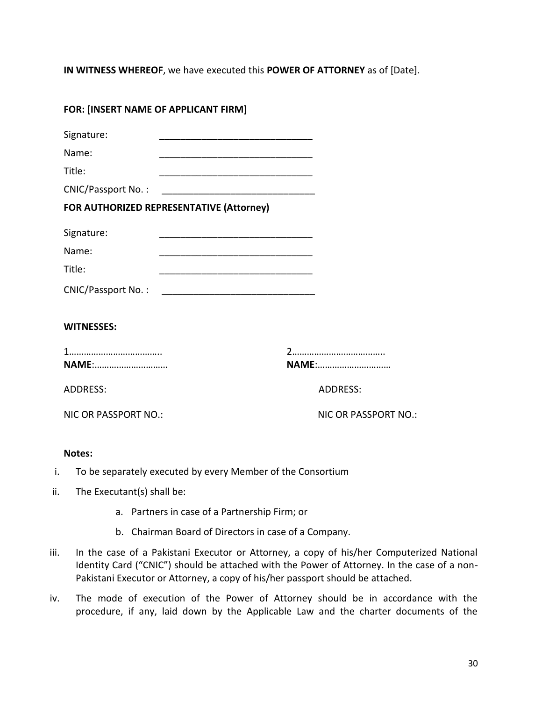**IN WITNESS WHEREOF**, we have executed this **POWER OF ATTORNEY** as of [Date].

| FOR: [INSERT NAME OF APPLICANT FIRM]     |                                                                                                                      |
|------------------------------------------|----------------------------------------------------------------------------------------------------------------------|
| Signature:                               |                                                                                                                      |
| Name:                                    |                                                                                                                      |
| Title:                                   |                                                                                                                      |
| <b>CNIC/Passport No.:</b>                |                                                                                                                      |
| FOR AUTHORIZED REPRESENTATIVE (Attorney) |                                                                                                                      |
| Signature:                               |                                                                                                                      |
| Name:                                    |                                                                                                                      |
| Title:                                   | <u> 1980 - Jan James James, martin amerikan basar dan bagi dan bagi dan bagi dan bagi dan bagi dan bagi dan bagi</u> |
|                                          |                                                                                                                      |
| <b>WITNESSES:</b>                        |                                                                                                                      |
| <b>NAME:</b>                             | <b>NAME:</b>                                                                                                         |
| <b>ADDRESS:</b>                          | <b>ADDRESS:</b>                                                                                                      |
| <b>NIC OR PASSPORT NO.:</b>              | <b>NIC OR PASSPORT NO.:</b>                                                                                          |
| <b>Notes:</b>                            |                                                                                                                      |

- i. To be separately executed by every Member of the Consortium
- ii. The Executant(s) shall be:
	- a. Partners in case of a Partnership Firm; or
	- b. Chairman Board of Directors in case of a Company.
- iii. In the case of a Pakistani Executor or Attorney, a copy of his/her Computerized National Identity Card ("CNIC") should be attached with the Power of Attorney. In the case of a non-Pakistani Executor or Attorney, a copy of his/her passport should be attached.
- iv. The mode of execution of the Power of Attorney should be in accordance with the procedure, if any, laid down by the Applicable Law and the charter documents of the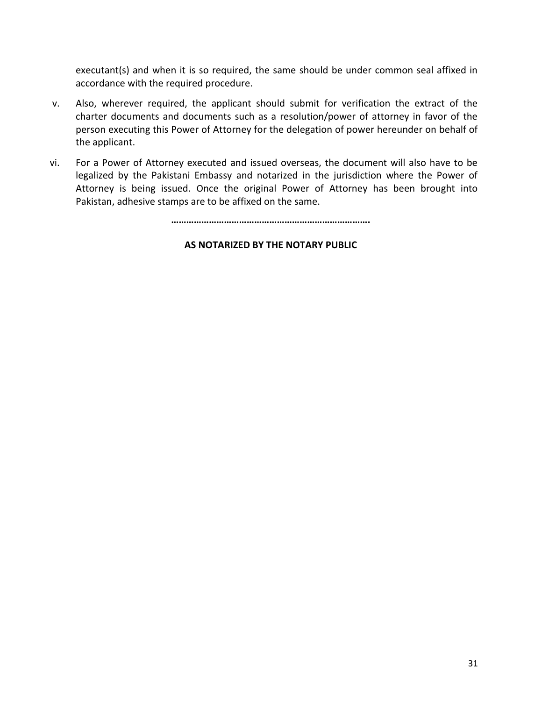executant(s) and when it is so required, the same should be under common seal affixed in accordance with the required procedure.

- v. Also, wherever required, the applicant should submit for verification the extract of the charter documents and documents such as a resolution/power of attorney in favor of the person executing this Power of Attorney for the delegation of power hereunder on behalf of the applicant.
- vi. For a Power of Attorney executed and issued overseas, the document will also have to be legalized by the Pakistani Embassy and notarized in the jurisdiction where the Power of Attorney is being issued. Once the original Power of Attorney has been brought into Pakistan, adhesive stamps are to be affixed on the same.

**…………………………………………………………………….**

#### **AS NOTARIZED BY THE NOTARY PUBLIC**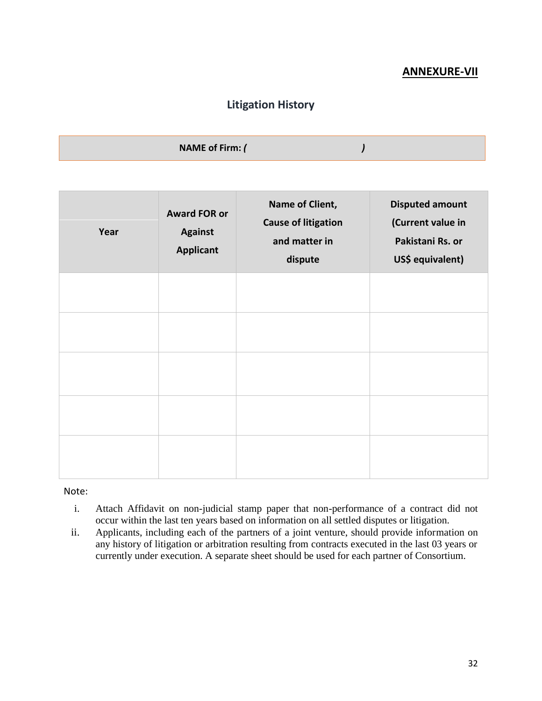### **ANNEXURE-VII**

### **Litigation History**

<span id="page-31-0"></span>

| <b>NAME of Firm: (</b> |  |
|------------------------|--|
|                        |  |

| Year | <b>Award FOR or</b><br><b>Against</b><br><b>Applicant</b> | Name of Client,<br><b>Cause of litigation</b><br>and matter in<br>dispute | <b>Disputed amount</b><br>(Current value in<br>Pakistani Rs. or<br>US\$ equivalent) |
|------|-----------------------------------------------------------|---------------------------------------------------------------------------|-------------------------------------------------------------------------------------|
|      |                                                           |                                                                           |                                                                                     |
|      |                                                           |                                                                           |                                                                                     |
|      |                                                           |                                                                           |                                                                                     |
|      |                                                           |                                                                           |                                                                                     |
|      |                                                           |                                                                           |                                                                                     |

Note:

- i. Attach Affidavit on non-judicial stamp paper that non-performance of a contract did not occur within the last ten years based on information on all settled disputes or litigation.
- ii. Applicants, including each of the partners of a joint venture, should provide information on any history of litigation or arbitration resulting from contracts executed in the last 03 years or currently under execution. A separate sheet should be used for each partner of Consortium.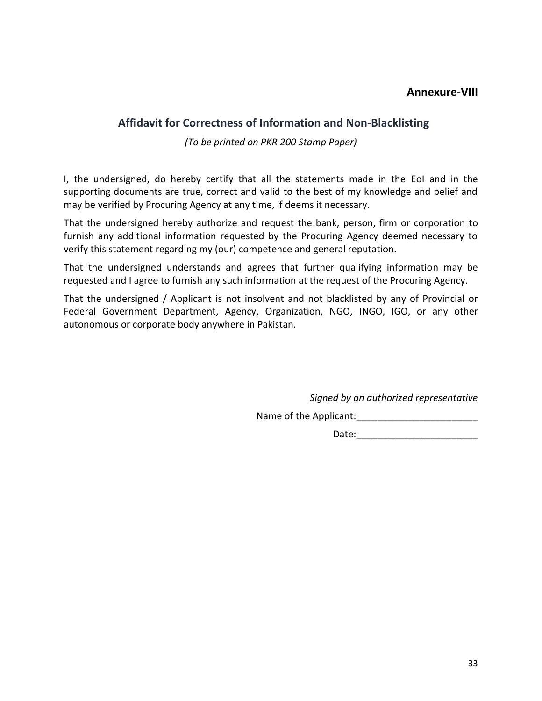#### **Annexure-VIII**

#### <span id="page-32-0"></span> **Affidavit for Correctness of Information and Non-Blacklisting**

*(To be printed on PKR 200 Stamp Paper)*

I, the undersigned, do hereby certify that all the statements made in the EoI and in the supporting documents are true, correct and valid to the best of my knowledge and belief and may be verified by Procuring Agency at any time, if deems it necessary.

That the undersigned hereby authorize and request the bank, person, firm or corporation to furnish any additional information requested by the Procuring Agency deemed necessary to verify this statement regarding my (our) competence and general reputation.

That the undersigned understands and agrees that further qualifying information may be requested and I agree to furnish any such information at the request of the Procuring Agency.

That the undersigned / Applicant is not insolvent and not blacklisted by any of Provincial or Federal Government Department, Agency, Organization, NGO, INGO, IGO, or any other autonomous or corporate body anywhere in Pakistan.

*Signed by an authorized representative* 

Name of the Applicant:\_\_\_\_\_\_\_\_\_\_\_\_\_\_\_\_\_\_\_\_\_\_\_

Date:\_\_\_\_\_\_\_\_\_\_\_\_\_\_\_\_\_\_\_\_\_\_\_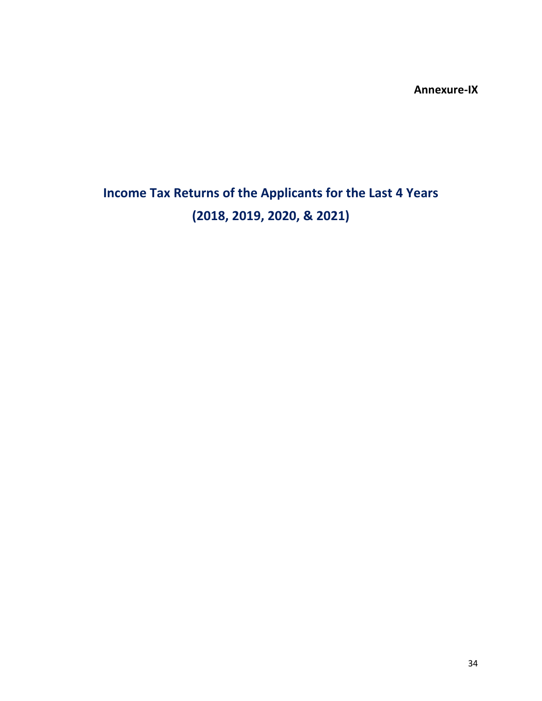**Annexure-IX**

# **Income Tax Returns of the Applicants for the Last 4 Years (2018, 2019, 2020, & 2021)**